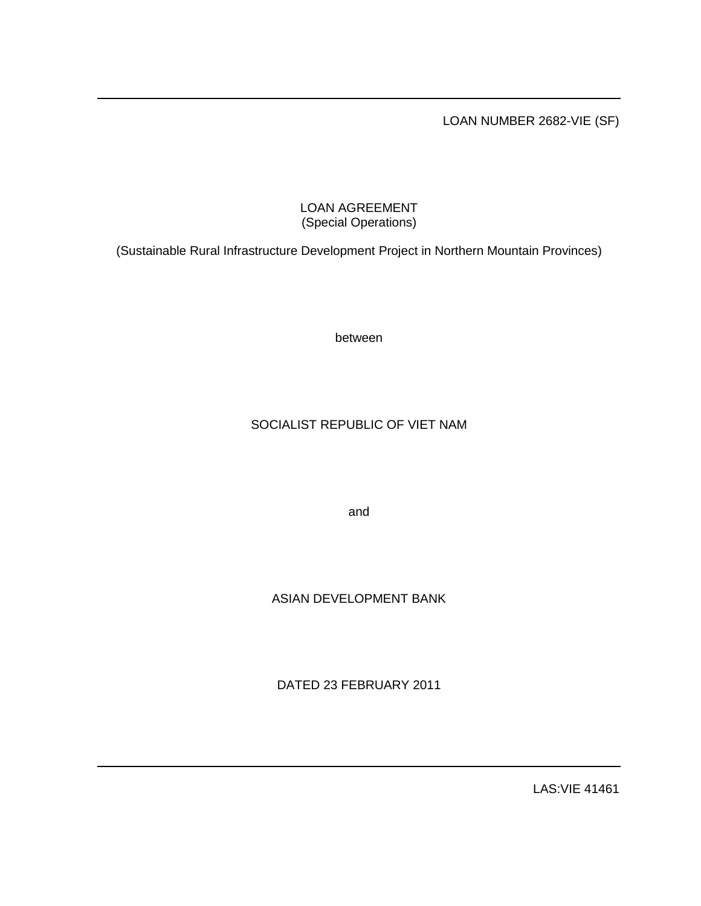LOAN NUMBER 2682-VIE (SF)

# LOAN AGREEMENT (Special Operations)

(Sustainable Rural Infrastructure Development Project in Northern Mountain Provinces)

between

# SOCIALIST REPUBLIC OF VIET NAM

and

# ASIAN DEVELOPMENT BANK

DATED 23 FEBRUARY 2011

LAS:VIE 41461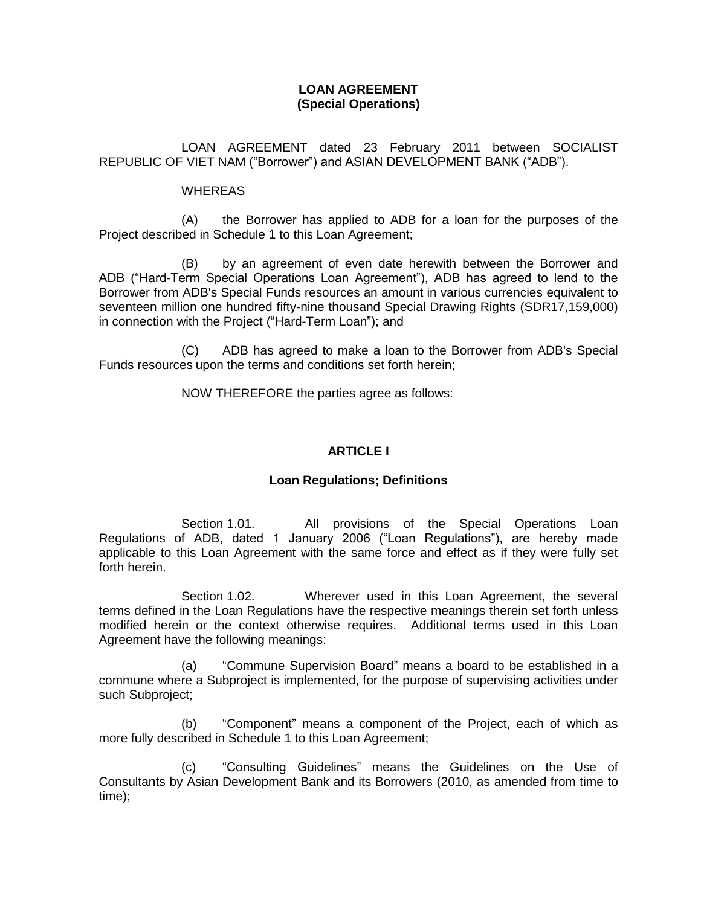# **LOAN AGREEMENT (Special Operations)**

LOAN AGREEMENT dated 23 February 2011 between SOCIALIST REPUBLIC OF VIET NAM ("Borrower") and ASIAN DEVELOPMENT BANK ("ADB").

### WHEREAS

(A) the Borrower has applied to ADB for a loan for the purposes of the Project described in Schedule 1 to this Loan Agreement;

(B) by an agreement of even date herewith between the Borrower and ADB ("Hard-Term Special Operations Loan Agreement"), ADB has agreed to lend to the Borrower from ADB's Special Funds resources an amount in various currencies equivalent to seventeen million one hundred fifty-nine thousand Special Drawing Rights (SDR17,159,000) in connection with the Project ("Hard-Term Loan"); and

(C) ADB has agreed to make a loan to the Borrower from ADB's Special Funds resources upon the terms and conditions set forth herein;

NOW THEREFORE the parties agree as follows:

# **ARTICLE I**

### **Loan Regulations; Definitions**

Section 1.01. All provisions of the Special Operations Loan Regulations of ADB, dated 1 January 2006 ("Loan Regulations"), are hereby made applicable to this Loan Agreement with the same force and effect as if they were fully set forth herein.

Section 1.02. Wherever used in this Loan Agreement, the several terms defined in the Loan Regulations have the respective meanings therein set forth unless modified herein or the context otherwise requires. Additional terms used in this Loan Agreement have the following meanings:

(a) "Commune Supervision Board" means a board to be established in a commune where a Subproject is implemented, for the purpose of supervising activities under such Subproject;

(b) "Component" means a component of the Project, each of which as more fully described in Schedule 1 to this Loan Agreement;

(c) "Consulting Guidelines" means the Guidelines on the Use of Consultants by Asian Development Bank and its Borrowers (2010, as amended from time to time);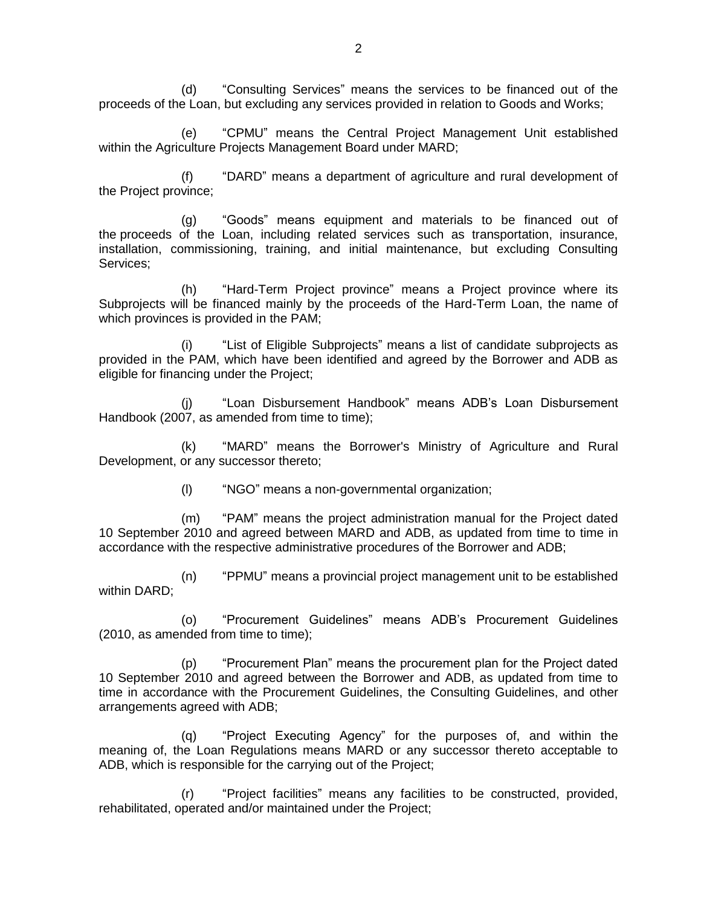(d) "Consulting Services" means the services to be financed out of the proceeds of the Loan, but excluding any services provided in relation to Goods and Works;

(e) "CPMU" means the Central Project Management Unit established within the Agriculture Projects Management Board under MARD;

(f) "DARD" means a department of agriculture and rural development of the Project province;

(g) "Goods" means equipment and materials to be financed out of the proceeds of the Loan, including related services such as transportation, insurance, installation, commissioning, training, and initial maintenance, but excluding Consulting Services;

(h) "Hard-Term Project province" means a Project province where its Subprojects will be financed mainly by the proceeds of the Hard-Term Loan, the name of which provinces is provided in the PAM;

(i) "List of Eligible Subprojects" means a list of candidate subprojects as provided in the PAM, which have been identified and agreed by the Borrower and ADB as eligible for financing under the Project;

"Loan Disbursement Handbook" means ADB's Loan Disbursement Handbook (2007, as amended from time to time);

(k) "MARD" means the Borrower's Ministry of Agriculture and Rural Development, or any successor thereto;

(l) "NGO" means a non-governmental organization;

(m) "PAM" means the project administration manual for the Project dated 10 September 2010 and agreed between MARD and ADB, as updated from time to time in accordance with the respective administrative procedures of the Borrower and ADB;

(n) "PPMU" means a provincial project management unit to be established within DARD;

(o) "Procurement Guidelines" means ADB's Procurement Guidelines (2010, as amended from time to time);

(p) "Procurement Plan" means the procurement plan for the Project dated 10 September 2010 and agreed between the Borrower and ADB, as updated from time to time in accordance with the Procurement Guidelines, the Consulting Guidelines, and other arrangements agreed with ADB;

(q) "Project Executing Agency" for the purposes of, and within the meaning of, the Loan Regulations means MARD or any successor thereto acceptable to ADB, which is responsible for the carrying out of the Project;

(r) "Project facilities" means any facilities to be constructed, provided, rehabilitated, operated and/or maintained under the Project;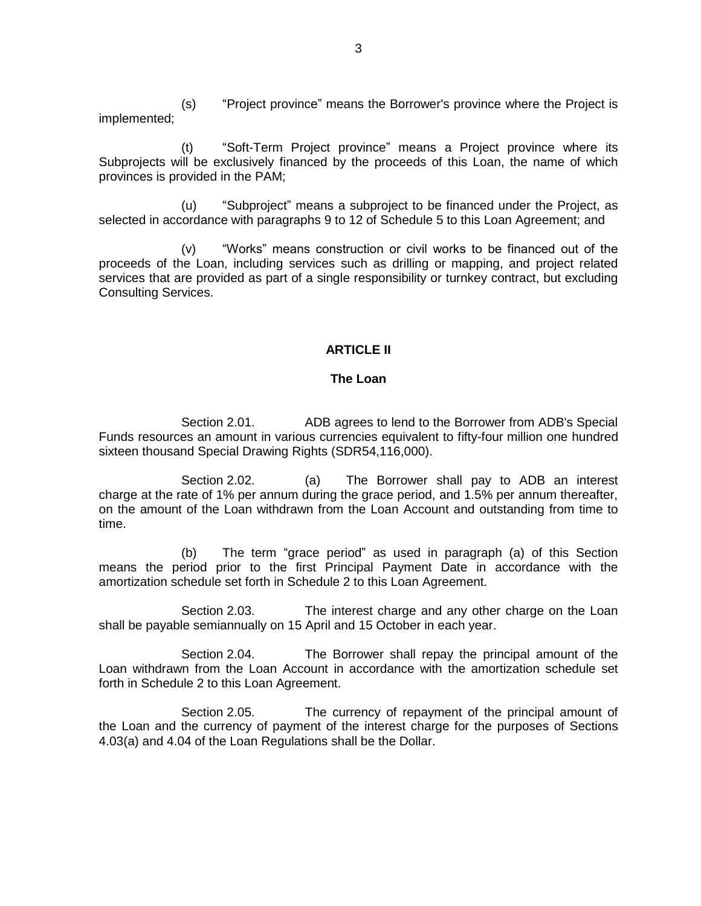(s) "Project province" means the Borrower's province where the Project is implemented;

(t) "Soft-Term Project province" means a Project province where its Subprojects will be exclusively financed by the proceeds of this Loan, the name of which provinces is provided in the PAM;

(u) "Subproject" means a subproject to be financed under the Project, as selected in accordance with paragraphs 9 to 12 of Schedule 5 to this Loan Agreement; and

(v) "Works" means construction or civil works to be financed out of the proceeds of the Loan, including services such as drilling or mapping, and project related services that are provided as part of a single responsibility or turnkey contract, but excluding Consulting Services.

# **ARTICLE II**

### **The Loan**

Section 2.01. ADB agrees to lend to the Borrower from ADB's Special Funds resources an amount in various currencies equivalent to fifty-four million one hundred sixteen thousand Special Drawing Rights (SDR54,116,000).

Section 2.02. (a) The Borrower shall pay to ADB an interest charge at the rate of 1% per annum during the grace period, and 1.5% per annum thereafter, on the amount of the Loan withdrawn from the Loan Account and outstanding from time to time.

(b) The term "grace period" as used in paragraph (a) of this Section means the period prior to the first Principal Payment Date in accordance with the amortization schedule set forth in Schedule 2 to this Loan Agreement.

Section 2.03. The interest charge and any other charge on the Loan shall be payable semiannually on 15 April and 15 October in each year.

Section 2.04. The Borrower shall repay the principal amount of the Loan withdrawn from the Loan Account in accordance with the amortization schedule set forth in Schedule 2 to this Loan Agreement.

Section 2.05. The currency of repayment of the principal amount of the Loan and the currency of payment of the interest charge for the purposes of Sections 4.03(a) and 4.04 of the Loan Regulations shall be the Dollar.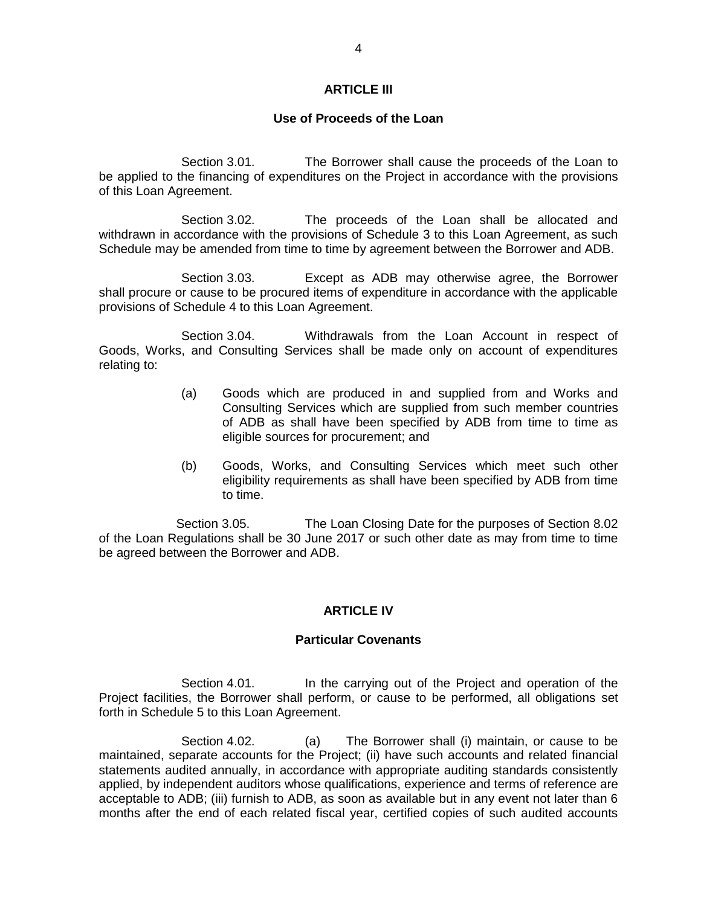### **ARTICLE III**

#### **Use of Proceeds of the Loan**

Section 3.01. The Borrower shall cause the proceeds of the Loan to be applied to the financing of expenditures on the Project in accordance with the provisions of this Loan Agreement.

Section 3.02. The proceeds of the Loan shall be allocated and withdrawn in accordance with the provisions of Schedule 3 to this Loan Agreement, as such Schedule may be amended from time to time by agreement between the Borrower and ADB.

Section 3.03. Except as ADB may otherwise agree, the Borrower shall procure or cause to be procured items of expenditure in accordance with the applicable provisions of Schedule 4 to this Loan Agreement.

Section 3.04. Withdrawals from the Loan Account in respect of Goods, Works, and Consulting Services shall be made only on account of expenditures relating to:

- (a) Goods which are produced in and supplied from and Works and Consulting Services which are supplied from such member countries of ADB as shall have been specified by ADB from time to time as eligible sources for procurement; and
- (b) Goods, Works, and Consulting Services which meet such other eligibility requirements as shall have been specified by ADB from time to time.

Section 3.05. The Loan Closing Date for the purposes of Section 8.02 of the Loan Regulations shall be 30 June 2017 or such other date as may from time to time be agreed between the Borrower and ADB.

### **ARTICLE IV**

#### **Particular Covenants**

Section 4.01. In the carrying out of the Project and operation of the Project facilities, the Borrower shall perform, or cause to be performed, all obligations set forth in Schedule 5 to this Loan Agreement.

Section 4.02. (a) The Borrower shall (i) maintain, or cause to be maintained, separate accounts for the Project; (ii) have such accounts and related financial statements audited annually, in accordance with appropriate auditing standards consistently applied, by independent auditors whose qualifications, experience and terms of reference are acceptable to ADB; (iii) furnish to ADB, as soon as available but in any event not later than 6 months after the end of each related fiscal year, certified copies of such audited accounts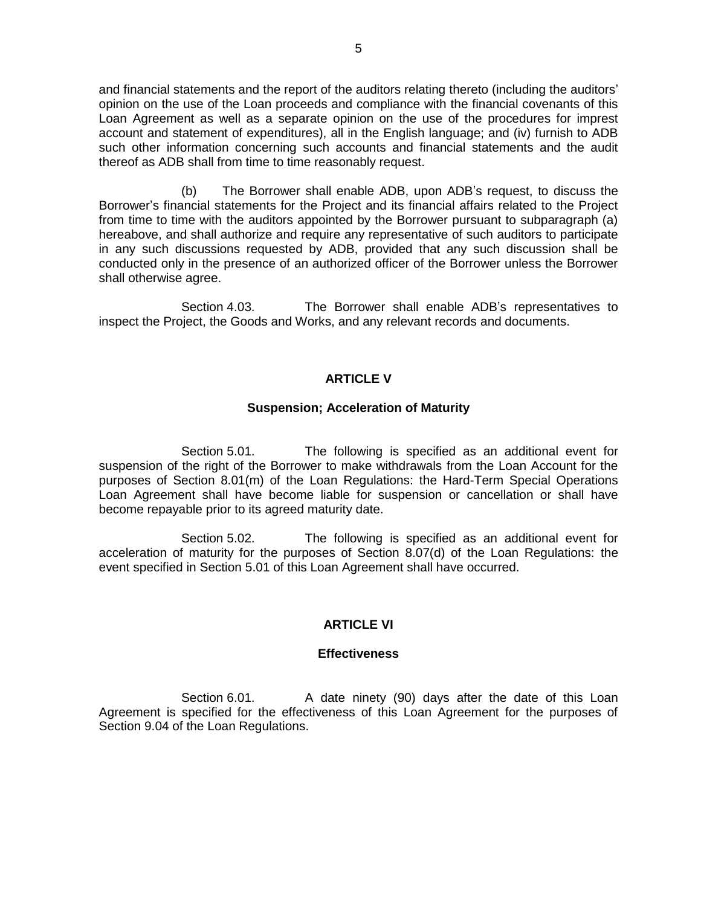and financial statements and the report of the auditors relating thereto (including the auditors' opinion on the use of the Loan proceeds and compliance with the financial covenants of this Loan Agreement as well as a separate opinion on the use of the procedures for imprest account and statement of expenditures), all in the English language; and (iv) furnish to ADB such other information concerning such accounts and financial statements and the audit thereof as ADB shall from time to time reasonably request.

(b) The Borrower shall enable ADB, upon ADB's request, to discuss the Borrower's financial statements for the Project and its financial affairs related to the Project from time to time with the auditors appointed by the Borrower pursuant to subparagraph (a) hereabove, and shall authorize and require any representative of such auditors to participate in any such discussions requested by ADB, provided that any such discussion shall be conducted only in the presence of an authorized officer of the Borrower unless the Borrower shall otherwise agree.

Section 4.03. The Borrower shall enable ADB's representatives to inspect the Project, the Goods and Works, and any relevant records and documents.

### **ARTICLE V**

#### **Suspension; Acceleration of Maturity**

Section 5.01. The following is specified as an additional event for suspension of the right of the Borrower to make withdrawals from the Loan Account for the purposes of Section 8.01(m) of the Loan Regulations: the Hard-Term Special Operations Loan Agreement shall have become liable for suspension or cancellation or shall have become repayable prior to its agreed maturity date.

Section 5.02. The following is specified as an additional event for acceleration of maturity for the purposes of Section 8.07(d) of the Loan Regulations: the event specified in Section 5.01 of this Loan Agreement shall have occurred.

### **ARTICLE VI**

#### **Effectiveness**

Section 6.01. A date ninety (90) days after the date of this Loan Agreement is specified for the effectiveness of this Loan Agreement for the purposes of Section 9.04 of the Loan Regulations.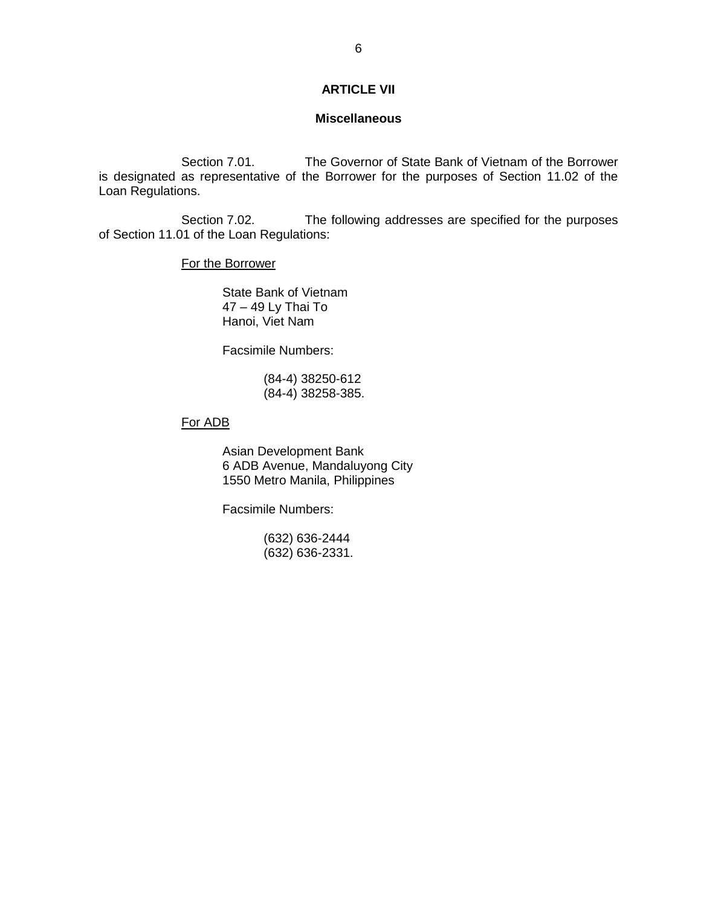## **ARTICLE VII**

#### **Miscellaneous**

Section 7.01. The Governor of State Bank of Vietnam of the Borrower is designated as representative of the Borrower for the purposes of Section 11.02 of the Loan Regulations.

Section 7.02. The following addresses are specified for the purposes of Section 11.01 of the Loan Regulations:

For the Borrower

State Bank of Vietnam 47 – 49 Ly Thai To Hanoi, Viet Nam

Facsimile Numbers:

(84-4) 38250-612 (84-4) 38258-385.

## For ADB

Asian Development Bank 6 ADB Avenue, Mandaluyong City 1550 Metro Manila, Philippines

Facsimile Numbers:

(632) 636-2444 (632) 636-2331.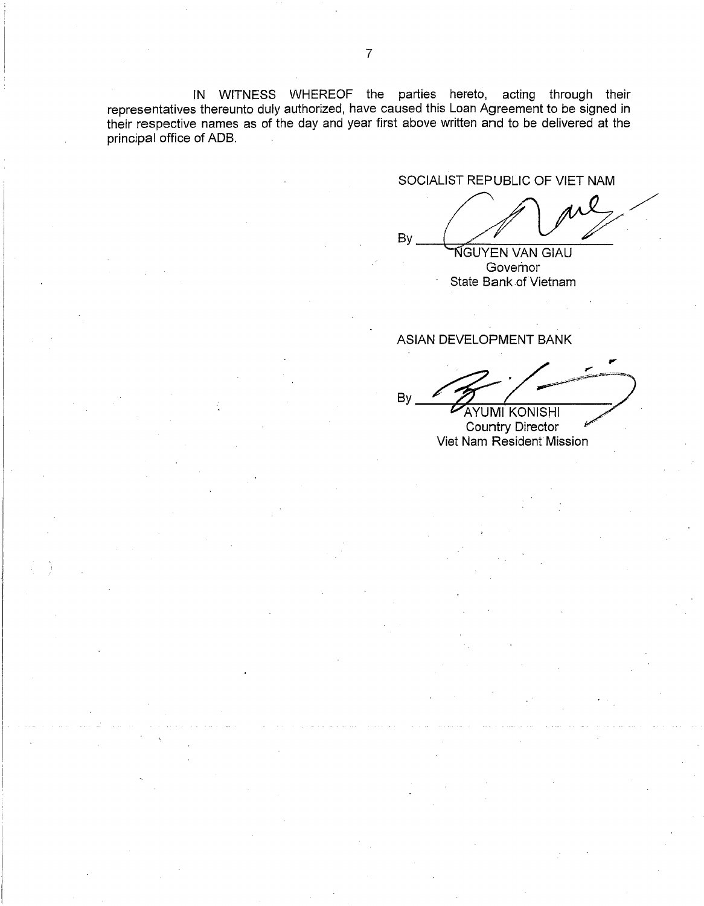IN WITNESS WHEREOF the parties hereto, acting through their representatives thereunto duly authorized, have caused this Loan Agreement to be signed in their respective names as of the day and year first above written and to be delivered at the principal office of ADB.

SOCIALIST REPUBLIC OF VIET NAM

By NGUYEN VAN GIAU

Governor State Bank of Vietnam

ASIAN DEVELOPMENT BANK

**By AYUMI KONISHI** 

Country Director Viet Nam Resident Mission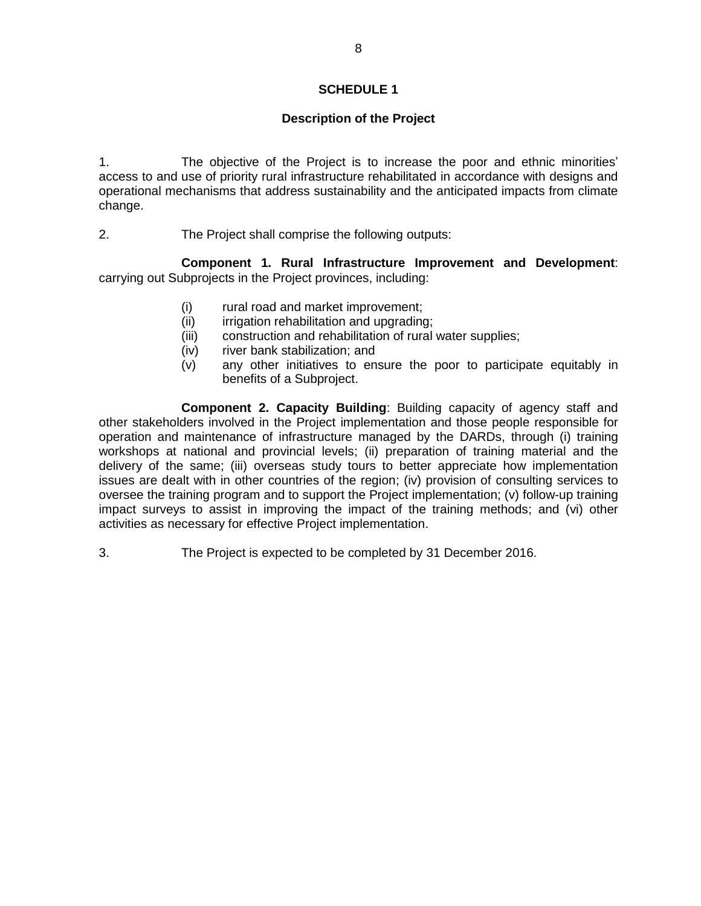# **Description of the Project**

1. The objective of the Project is to increase the poor and ethnic minorities' access to and use of priority rural infrastructure rehabilitated in accordance with designs and operational mechanisms that address sustainability and the anticipated impacts from climate change.

2. The Project shall comprise the following outputs:

**Component 1. Rural Infrastructure Improvement and Development**: carrying out Subprojects in the Project provinces, including:

- (i) rural road and market improvement;
- (ii) irrigation rehabilitation and upgrading;
- (iii) construction and rehabilitation of rural water supplies;
- (iv) river bank stabilization; and
- (v) any other initiatives to ensure the poor to participate equitably in benefits of a Subproject.

**Component 2. Capacity Building**: Building capacity of agency staff and other stakeholders involved in the Project implementation and those people responsible for operation and maintenance of infrastructure managed by the DARDs, through (i) training workshops at national and provincial levels; (ii) preparation of training material and the delivery of the same; (iii) overseas study tours to better appreciate how implementation issues are dealt with in other countries of the region; (iv) provision of consulting services to oversee the training program and to support the Project implementation; (v) follow-up training impact surveys to assist in improving the impact of the training methods; and (vi) other activities as necessary for effective Project implementation.

3. The Project is expected to be completed by 31 December 2016.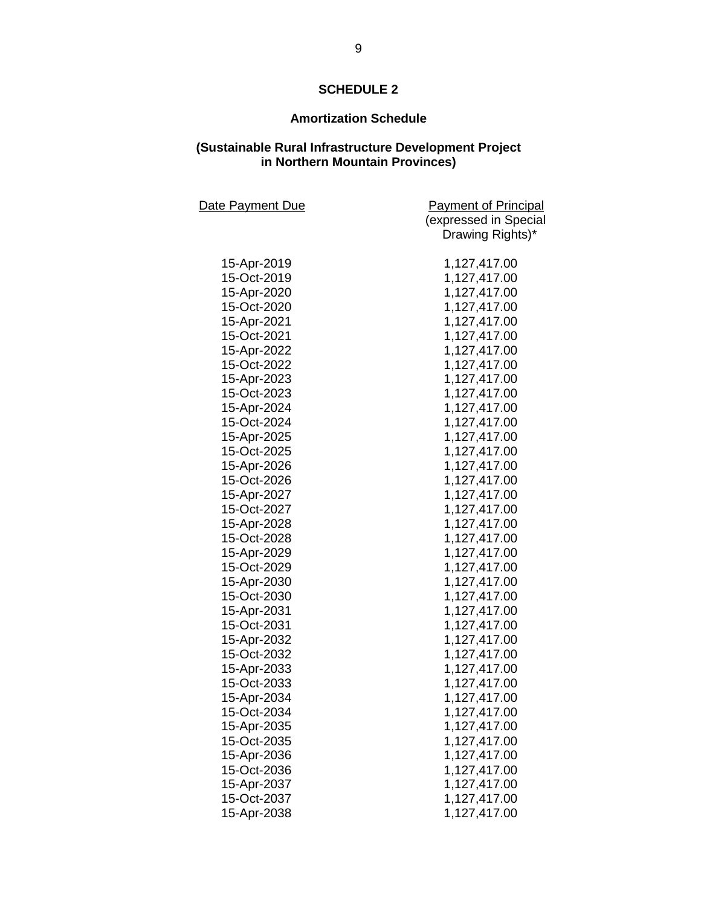# **Amortization Schedule**

#### **(Sustainable Rural Infrastructure Development Project in Northern Mountain Provinces)**

| Date Payment Due | <b>Payment of Principal</b> |
|------------------|-----------------------------|
|                  | (expressed in Special       |
|                  | Drawing Rights)*            |
|                  |                             |
| 15-Apr-2019      | 1,127,417.00                |
| 15-Oct-2019      | 1,127,417.00                |
| 15-Apr-2020      | 1,127,417.00                |
| 15-Oct-2020      | 1,127,417.00                |
| 15-Apr-2021      | 1,127,417.00                |
| 15-Oct-2021      | 1,127,417.00                |
| 15-Apr-2022      | 1,127,417.00                |
| 15-Oct-2022      | 1,127,417.00                |
| 15-Apr-2023      | 1,127,417.00                |
| 15-Oct-2023      | 1,127,417.00                |
| 15-Apr-2024      | 1,127,417.00                |
| 15-Oct-2024      | 1,127,417.00                |
| 15-Apr-2025      | 1,127,417.00                |
| 15-Oct-2025      | 1,127,417.00                |
| 15-Apr-2026      | 1,127,417.00                |
| 15-Oct-2026      | 1,127,417.00                |
| 15-Apr-2027      | 1,127,417.00                |
| 15-Oct-2027      | 1,127,417.00                |
| 15-Apr-2028      | 1,127,417.00                |
| 15-Oct-2028      | 1,127,417.00                |
| 15-Apr-2029      | 1,127,417.00                |
| 15-Oct-2029      | 1,127,417.00                |
| 15-Apr-2030      | 1,127,417.00                |
| 15-Oct-2030      | 1,127,417.00                |
| 15-Apr-2031      | 1,127,417.00                |
| 15-Oct-2031      | 1,127,417.00                |
| 15-Apr-2032      | 1,127,417.00                |
| 15-Oct-2032      | 1,127,417.00                |
| 15-Apr-2033      | 1,127,417.00                |
| 15-Oct-2033      | 1,127,417.00                |
| 15-Apr-2034      | 1,127,417.00                |
| 15-Oct-2034      | 1,127,417.00                |
| 15-Apr-2035      | 1,127,417.00                |
| 15-Oct-2035      | 1,127,417.00                |
| 15-Apr-2036      | 1,127,417.00                |
| 15-Oct-2036      | 1,127,417.00                |
| 15-Apr-2037      | 1,127,417.00                |
| 15-Oct-2037      | 1,127,417.00                |
| 15-Apr-2038      | 1,127,417.00                |
|                  |                             |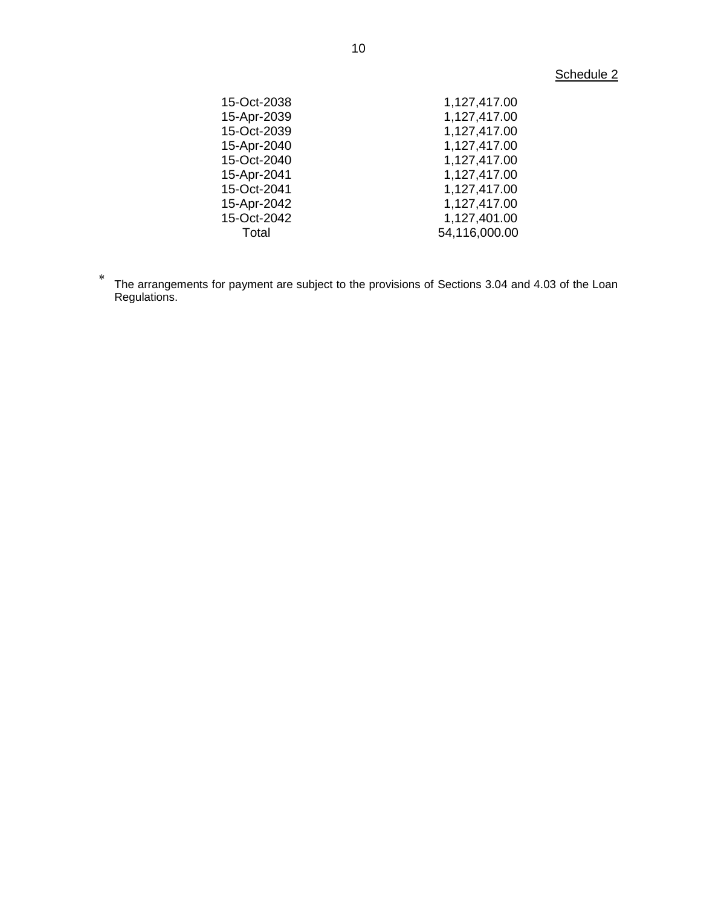# Schedule 2

| 15-Oct-2038 | 1,127,417.00  |
|-------------|---------------|
| 15-Apr-2039 | 1,127,417.00  |
| 15-Oct-2039 | 1,127,417.00  |
| 15-Apr-2040 | 1,127,417.00  |
| 15-Oct-2040 | 1,127,417.00  |
| 15-Apr-2041 | 1,127,417.00  |
| 15-Oct-2041 | 1,127,417.00  |
| 15-Apr-2042 | 1,127,417.00  |
| 15-Oct-2042 | 1,127,401.00  |
| Total       | 54,116,000.00 |
|             |               |

 $\ast$ The arrangements for payment are subject to the provisions of Sections 3.04 and 4.03 of the Loan Regulations.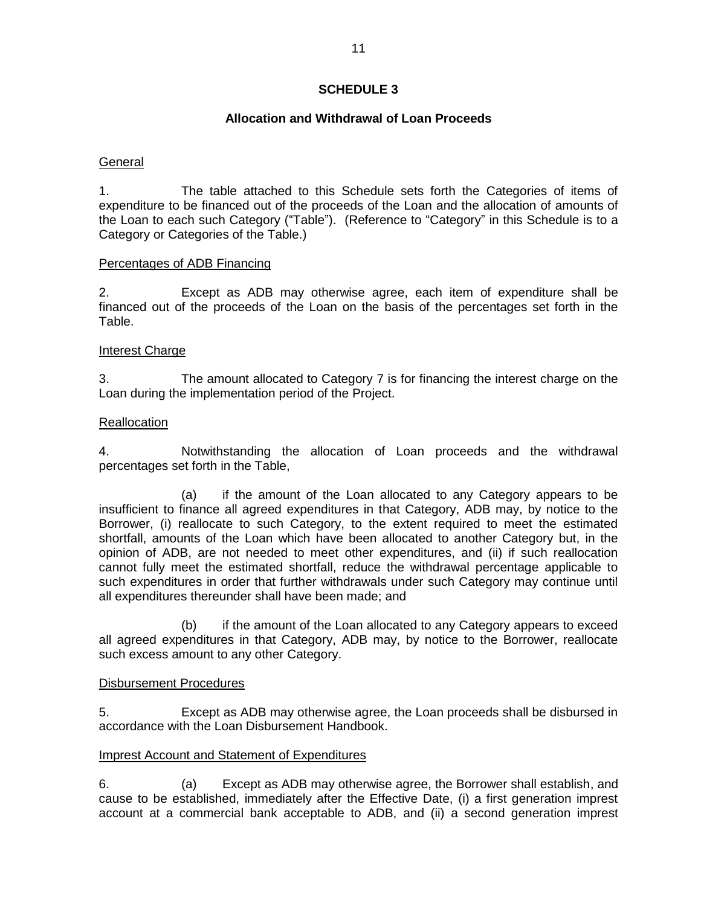# **Allocation and Withdrawal of Loan Proceeds**

## **General**

1. The table attached to this Schedule sets forth the Categories of items of expenditure to be financed out of the proceeds of the Loan and the allocation of amounts of the Loan to each such Category ("Table"). (Reference to "Category" in this Schedule is to a Category or Categories of the Table.)

### Percentages of ADB Financing

2. Except as ADB may otherwise agree, each item of expenditure shall be financed out of the proceeds of the Loan on the basis of the percentages set forth in the Table.

# Interest Charge

3. The amount allocated to Category 7 is for financing the interest charge on the Loan during the implementation period of the Project.

# **Reallocation**

4. Notwithstanding the allocation of Loan proceeds and the withdrawal percentages set forth in the Table,

(a) if the amount of the Loan allocated to any Category appears to be insufficient to finance all agreed expenditures in that Category, ADB may, by notice to the Borrower, (i) reallocate to such Category, to the extent required to meet the estimated shortfall, amounts of the Loan which have been allocated to another Category but, in the opinion of ADB, are not needed to meet other expenditures, and (ii) if such reallocation cannot fully meet the estimated shortfall, reduce the withdrawal percentage applicable to such expenditures in order that further withdrawals under such Category may continue until all expenditures thereunder shall have been made; and

(b) if the amount of the Loan allocated to any Category appears to exceed all agreed expenditures in that Category, ADB may, by notice to the Borrower, reallocate such excess amount to any other Category.

### Disbursement Procedures

5. Except as ADB may otherwise agree, the Loan proceeds shall be disbursed in accordance with the Loan Disbursement Handbook.

### Imprest Account and Statement of Expenditures

6. (a) Except as ADB may otherwise agree, the Borrower shall establish, and cause to be established, immediately after the Effective Date, (i) a first generation imprest account at a commercial bank acceptable to ADB, and (ii) a second generation imprest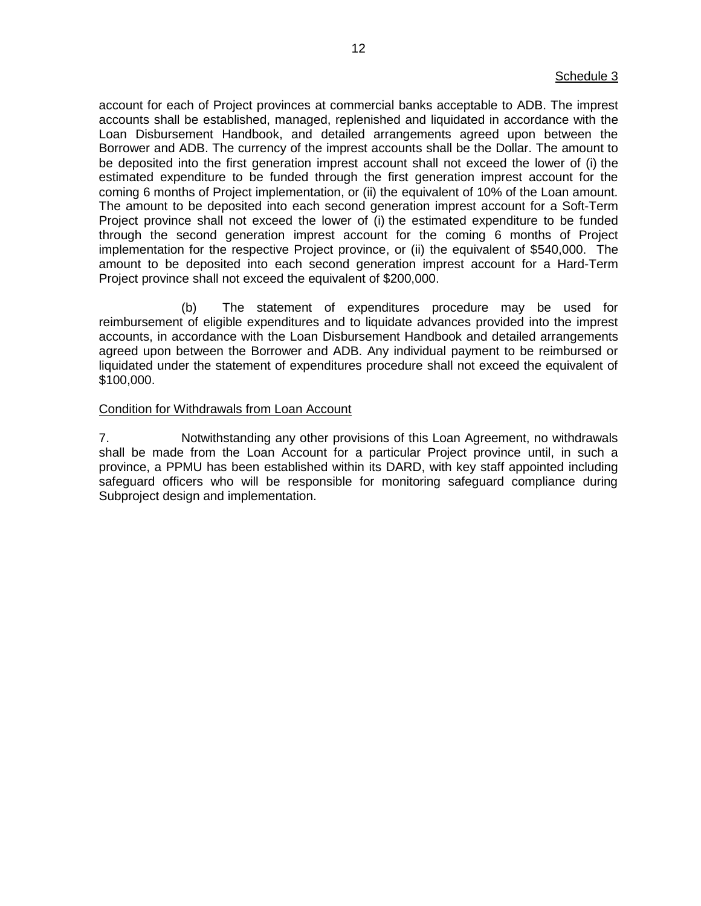account for each of Project provinces at commercial banks acceptable to ADB. The imprest accounts shall be established, managed, replenished and liquidated in accordance with the Loan Disbursement Handbook, and detailed arrangements agreed upon between the Borrower and ADB. The currency of the imprest accounts shall be the Dollar. The amount to be deposited into the first generation imprest account shall not exceed the lower of (i) the estimated expenditure to be funded through the first generation imprest account for the coming 6 months of Project implementation, or (ii) the equivalent of 10% of the Loan amount. The amount to be deposited into each second generation imprest account for a Soft-Term Project province shall not exceed the lower of (i) the estimated expenditure to be funded through the second generation imprest account for the coming 6 months of Project implementation for the respective Project province, or (ii) the equivalent of \$540,000. The amount to be deposited into each second generation imprest account for a Hard-Term Project province shall not exceed the equivalent of \$200,000.

(b) The statement of expenditures procedure may be used for reimbursement of eligible expenditures and to liquidate advances provided into the imprest accounts, in accordance with the Loan Disbursement Handbook and detailed arrangements agreed upon between the Borrower and ADB. Any individual payment to be reimbursed or liquidated under the statement of expenditures procedure shall not exceed the equivalent of \$100,000.

#### Condition for Withdrawals from Loan Account

7. Notwithstanding any other provisions of this Loan Agreement, no withdrawals shall be made from the Loan Account for a particular Project province until, in such a province, a PPMU has been established within its DARD, with key staff appointed including safeguard officers who will be responsible for monitoring safeguard compliance during Subproject design and implementation.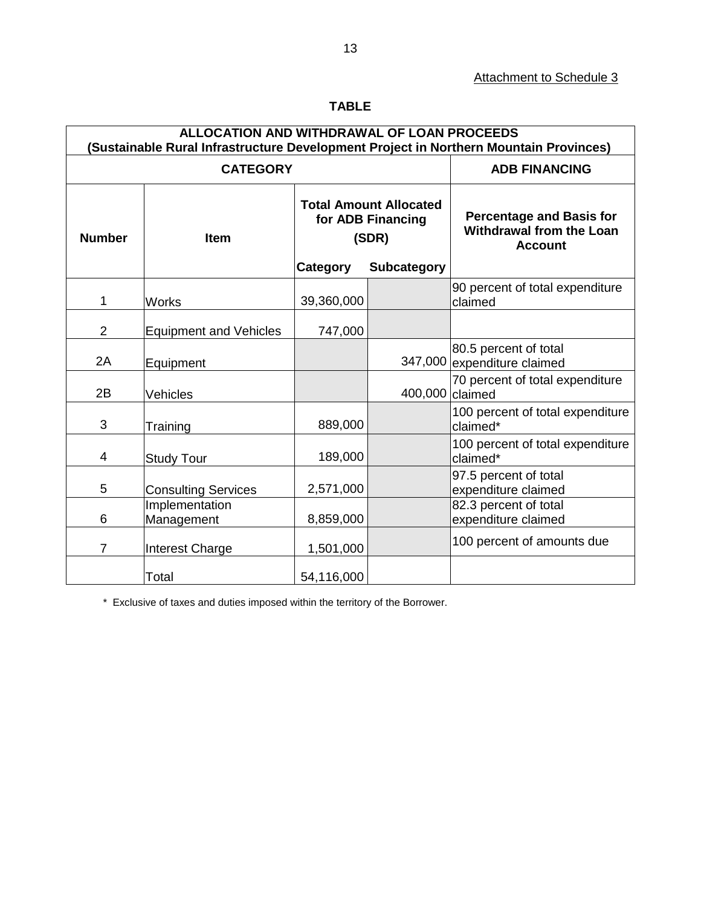| <b>ALLOCATION AND WITHDRAWAL OF LOAN PROCEEDS</b><br>(Sustainable Rural Infrastructure Development Project in Northern Mountain Provinces) |                               |                                                             |                      |                                                                                      |  |  |
|--------------------------------------------------------------------------------------------------------------------------------------------|-------------------------------|-------------------------------------------------------------|----------------------|--------------------------------------------------------------------------------------|--|--|
| <b>CATEGORY</b>                                                                                                                            |                               |                                                             | <b>ADB FINANCING</b> |                                                                                      |  |  |
| <b>Number</b>                                                                                                                              | <b>Item</b>                   | <b>Total Amount Allocated</b><br>for ADB Financing<br>(SDR) |                      | <b>Percentage and Basis for</b><br><b>Withdrawal from the Loan</b><br><b>Account</b> |  |  |
|                                                                                                                                            |                               | Category                                                    | <b>Subcategory</b>   |                                                                                      |  |  |
| 1                                                                                                                                          | <b>Works</b>                  | 39,360,000                                                  |                      | 90 percent of total expenditure<br>claimed                                           |  |  |
| 2                                                                                                                                          | <b>Equipment and Vehicles</b> | 747,000                                                     |                      |                                                                                      |  |  |
| 2A                                                                                                                                         | Equipment                     |                                                             |                      | 80.5 percent of total<br>347,000 expenditure claimed                                 |  |  |
| 2B                                                                                                                                         | Vehicles                      |                                                             | 400,000 claimed      | 70 percent of total expenditure                                                      |  |  |
| 3                                                                                                                                          | Training                      | 889,000                                                     |                      | 100 percent of total expenditure<br>claimed*                                         |  |  |
| 4                                                                                                                                          | <b>Study Tour</b>             | 189,000                                                     |                      | 100 percent of total expenditure<br>claimed*                                         |  |  |
| 5                                                                                                                                          | <b>Consulting Services</b>    | 2,571,000                                                   |                      | 97.5 percent of total<br>expenditure claimed                                         |  |  |
| 6                                                                                                                                          | Implementation<br>Management  | 8,859,000                                                   |                      | 82.3 percent of total<br>expenditure claimed                                         |  |  |
| $\overline{7}$                                                                                                                             | <b>Interest Charge</b>        | 1,501,000                                                   |                      | 100 percent of amounts due                                                           |  |  |
|                                                                                                                                            | Total                         | 54,116,000                                                  |                      |                                                                                      |  |  |

# **TABLE**

\* Exclusive of taxes and duties imposed within the territory of the Borrower.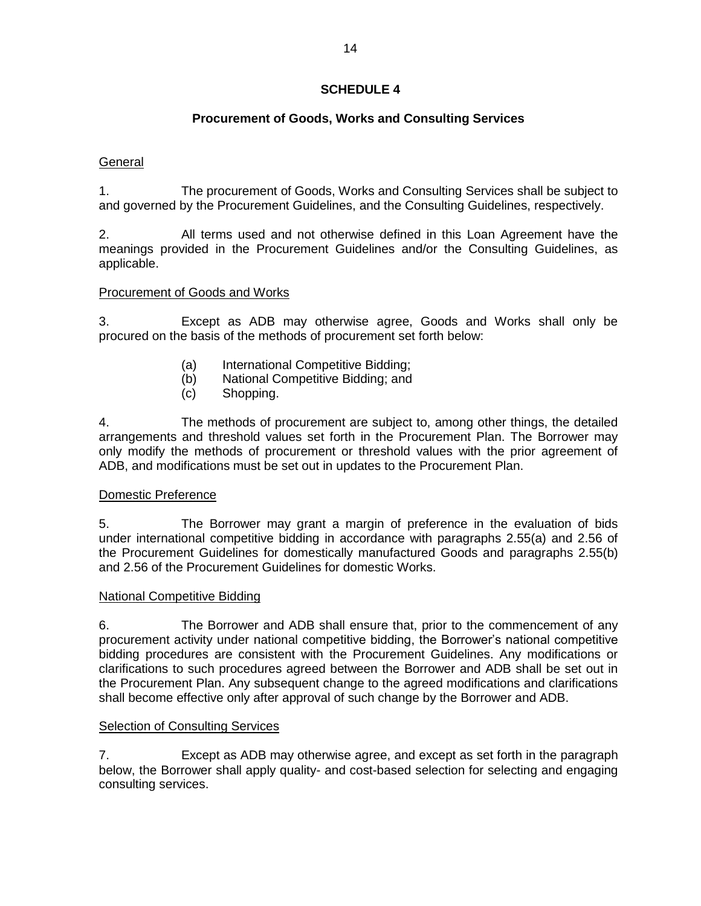# **Procurement of Goods, Works and Consulting Services**

# **General**

1. The procurement of Goods, Works and Consulting Services shall be subject to and governed by the Procurement Guidelines, and the Consulting Guidelines, respectively.

2. All terms used and not otherwise defined in this Loan Agreement have the meanings provided in the Procurement Guidelines and/or the Consulting Guidelines, as applicable.

# Procurement of Goods and Works

3. Except as ADB may otherwise agree, Goods and Works shall only be procured on the basis of the methods of procurement set forth below:

- (a) International Competitive Bidding;
- (b) National Competitive Bidding; and
- (c) Shopping.

4. The methods of procurement are subject to, among other things, the detailed arrangements and threshold values set forth in the Procurement Plan. The Borrower may only modify the methods of procurement or threshold values with the prior agreement of ADB, and modifications must be set out in updates to the Procurement Plan.

## Domestic Preference

5. The Borrower may grant a margin of preference in the evaluation of bids under international competitive bidding in accordance with paragraphs 2.55(a) and 2.56 of the Procurement Guidelines for domestically manufactured Goods and paragraphs 2.55(b) and 2.56 of the Procurement Guidelines for domestic Works.

### National Competitive Bidding

6. The Borrower and ADB shall ensure that, prior to the commencement of any procurement activity under national competitive bidding, the Borrower's national competitive bidding procedures are consistent with the Procurement Guidelines. Any modifications or clarifications to such procedures agreed between the Borrower and ADB shall be set out in the Procurement Plan. Any subsequent change to the agreed modifications and clarifications shall become effective only after approval of such change by the Borrower and ADB.

### Selection of Consulting Services

7. Except as ADB may otherwise agree, and except as set forth in the paragraph below, the Borrower shall apply quality- and cost-based selection for selecting and engaging consulting services.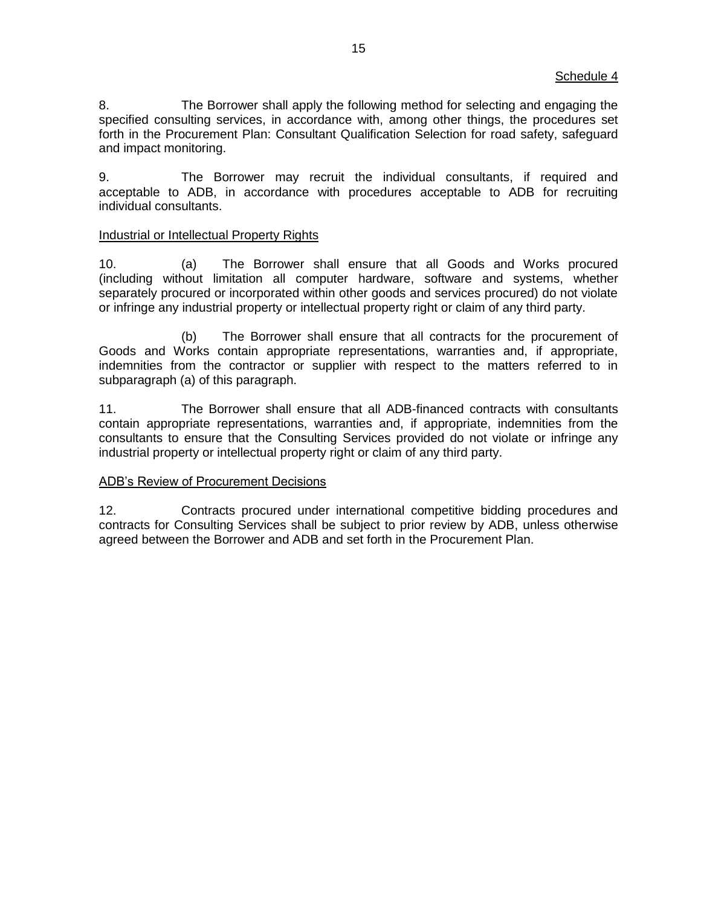8. The Borrower shall apply the following method for selecting and engaging the specified consulting services, in accordance with, among other things, the procedures set forth in the Procurement Plan: Consultant Qualification Selection for road safety, safeguard and impact monitoring.

9. The Borrower may recruit the individual consultants, if required and acceptable to ADB, in accordance with procedures acceptable to ADB for recruiting individual consultants.

### Industrial or Intellectual Property Rights

10. (a) The Borrower shall ensure that all Goods and Works procured (including without limitation all computer hardware, software and systems, whether separately procured or incorporated within other goods and services procured) do not violate or infringe any industrial property or intellectual property right or claim of any third party.

(b) The Borrower shall ensure that all contracts for the procurement of Goods and Works contain appropriate representations, warranties and, if appropriate, indemnities from the contractor or supplier with respect to the matters referred to in subparagraph (a) of this paragraph.

11. The Borrower shall ensure that all ADB-financed contracts with consultants contain appropriate representations, warranties and, if appropriate, indemnities from the consultants to ensure that the Consulting Services provided do not violate or infringe any industrial property or intellectual property right or claim of any third party.

### ADB's Review of Procurement Decisions

12. Contracts procured under international competitive bidding procedures and contracts for Consulting Services shall be subject to prior review by ADB, unless otherwise agreed between the Borrower and ADB and set forth in the Procurement Plan.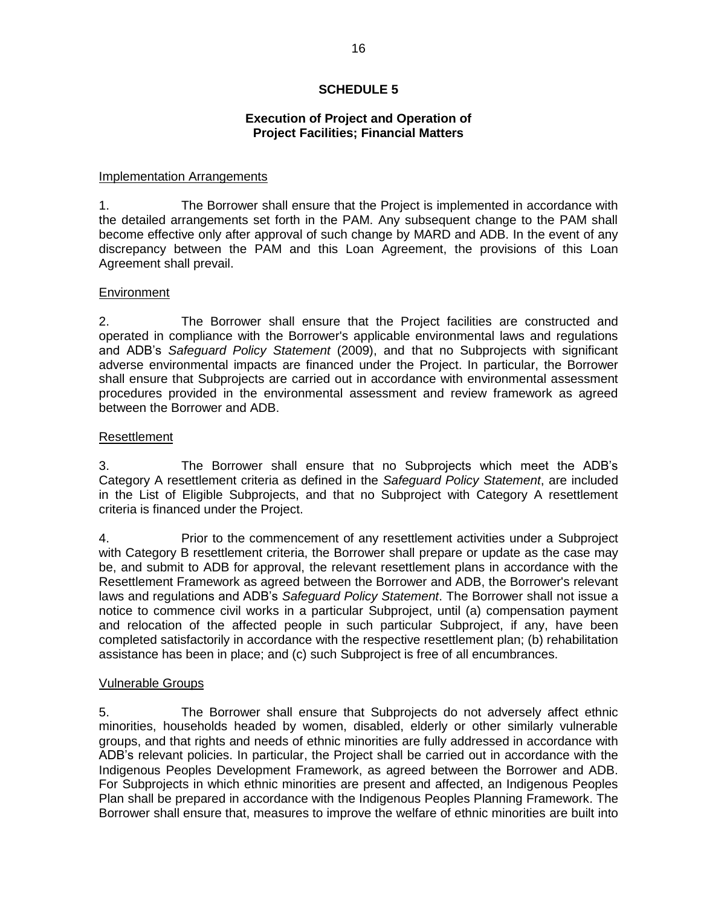# **Execution of Project and Operation of Project Facilities; Financial Matters**

### Implementation Arrangements

1. The Borrower shall ensure that the Project is implemented in accordance with the detailed arrangements set forth in the PAM. Any subsequent change to the PAM shall become effective only after approval of such change by MARD and ADB. In the event of any discrepancy between the PAM and this Loan Agreement, the provisions of this Loan Agreement shall prevail.

# **Environment**

2. The Borrower shall ensure that the Project facilities are constructed and operated in compliance with the Borrower's applicable environmental laws and regulations and ADB's *Safeguard Policy Statement* (2009), and that no Subprojects with significant adverse environmental impacts are financed under the Project. In particular, the Borrower shall ensure that Subprojects are carried out in accordance with environmental assessment procedures provided in the environmental assessment and review framework as agreed between the Borrower and ADB.

# Resettlement

3. The Borrower shall ensure that no Subprojects which meet the ADB's Category A resettlement criteria as defined in the *Safeguard Policy Statement*, are included in the List of Eligible Subprojects, and that no Subproject with Category A resettlement criteria is financed under the Project.

4. Prior to the commencement of any resettlement activities under a Subproject with Category B resettlement criteria, the Borrower shall prepare or update as the case may be, and submit to ADB for approval, the relevant resettlement plans in accordance with the Resettlement Framework as agreed between the Borrower and ADB, the Borrower's relevant laws and regulations and ADB's *Safeguard Policy Statement*. The Borrower shall not issue a notice to commence civil works in a particular Subproject, until (a) compensation payment and relocation of the affected people in such particular Subproject, if any, have been completed satisfactorily in accordance with the respective resettlement plan; (b) rehabilitation assistance has been in place; and (c) such Subproject is free of all encumbrances.

### Vulnerable Groups

5. The Borrower shall ensure that Subprojects do not adversely affect ethnic minorities, households headed by women, disabled, elderly or other similarly vulnerable groups, and that rights and needs of ethnic minorities are fully addressed in accordance with ADB's relevant policies. In particular, the Project shall be carried out in accordance with the Indigenous Peoples Development Framework, as agreed between the Borrower and ADB. For Subprojects in which ethnic minorities are present and affected, an Indigenous Peoples Plan shall be prepared in accordance with the Indigenous Peoples Planning Framework. The Borrower shall ensure that, measures to improve the welfare of ethnic minorities are built into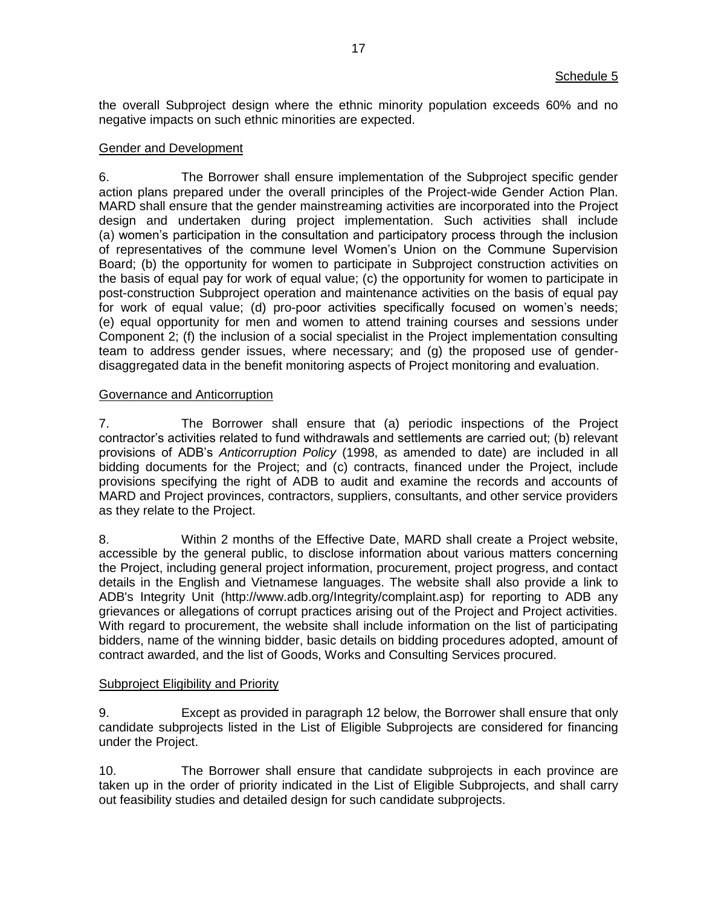the overall Subproject design where the ethnic minority population exceeds 60% and no negative impacts on such ethnic minorities are expected.

#### Gender and Development

6. The Borrower shall ensure implementation of the Subproject specific gender action plans prepared under the overall principles of the Project-wide Gender Action Plan. MARD shall ensure that the gender mainstreaming activities are incorporated into the Project design and undertaken during project implementation. Such activities shall include (a) women's participation in the consultation and participatory process through the inclusion of representatives of the commune level Women's Union on the Commune Supervision Board; (b) the opportunity for women to participate in Subproject construction activities on the basis of equal pay for work of equal value; (c) the opportunity for women to participate in post-construction Subproject operation and maintenance activities on the basis of equal pay for work of equal value; (d) pro-poor activities specifically focused on women's needs; (e) equal opportunity for men and women to attend training courses and sessions under Component 2; (f) the inclusion of a social specialist in the Project implementation consulting team to address gender issues, where necessary; and (g) the proposed use of genderdisaggregated data in the benefit monitoring aspects of Project monitoring and evaluation.

#### Governance and Anticorruption

7. The Borrower shall ensure that (a) periodic inspections of the Project contractor's activities related to fund withdrawals and settlements are carried out; (b) relevant provisions of ADB's *Anticorruption Policy* (1998, as amended to date) are included in all bidding documents for the Project; and (c) contracts, financed under the Project, include provisions specifying the right of ADB to audit and examine the records and accounts of MARD and Project provinces, contractors, suppliers, consultants, and other service providers as they relate to the Project.

8. Within 2 months of the Effective Date, MARD shall create a Project website, accessible by the general public, to disclose information about various matters concerning the Project, including general project information, procurement, project progress, and contact details in the English and Vietnamese languages. The website shall also provide a link to ADB's Integrity Unit (http://www.adb.org/Integrity/complaint.asp) for reporting to ADB any grievances or allegations of corrupt practices arising out of the Project and Project activities. With regard to procurement, the website shall include information on the list of participating bidders, name of the winning bidder, basic details on bidding procedures adopted, amount of contract awarded, and the list of Goods, Works and Consulting Services procured.

### Subproject Eligibility and Priority

9. Except as provided in paragraph 12 below, the Borrower shall ensure that only candidate subprojects listed in the List of Eligible Subprojects are considered for financing under the Project.

10. The Borrower shall ensure that candidate subprojects in each province are taken up in the order of priority indicated in the List of Eligible Subprojects, and shall carry out feasibility studies and detailed design for such candidate subprojects.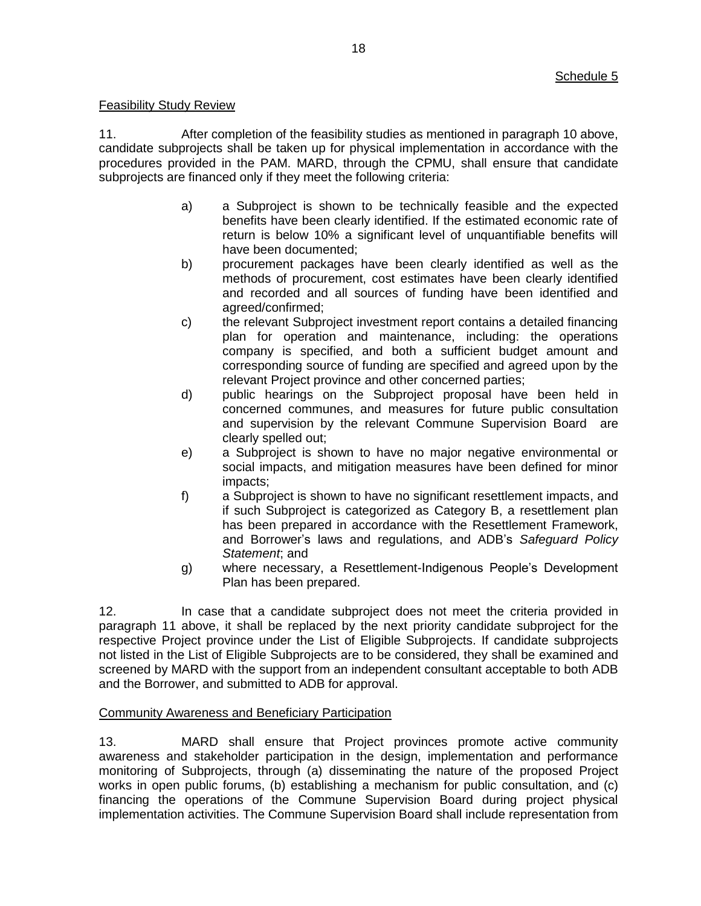# Feasibility Study Review

11. After completion of the feasibility studies as mentioned in paragraph 10 above, candidate subprojects shall be taken up for physical implementation in accordance with the procedures provided in the PAM. MARD, through the CPMU, shall ensure that candidate subprojects are financed only if they meet the following criteria:

- a) a Subproject is shown to be technically feasible and the expected benefits have been clearly identified. If the estimated economic rate of return is below 10% a significant level of unquantifiable benefits will have been documented;
- b) procurement packages have been clearly identified as well as the methods of procurement, cost estimates have been clearly identified and recorded and all sources of funding have been identified and agreed/confirmed;
- c) the relevant Subproject investment report contains a detailed financing plan for operation and maintenance, including: the operations company is specified, and both a sufficient budget amount and corresponding source of funding are specified and agreed upon by the relevant Project province and other concerned parties;
- d) public hearings on the Subproject proposal have been held in concerned communes, and measures for future public consultation and supervision by the relevant Commune Supervision Board are clearly spelled out;
- e) a Subproject is shown to have no major negative environmental or social impacts, and mitigation measures have been defined for minor impacts;
- f) a Subproject is shown to have no significant resettlement impacts, and if such Subproject is categorized as Category B, a resettlement plan has been prepared in accordance with the Resettlement Framework, and Borrower's laws and regulations, and ADB's *Safeguard Policy Statement*; and
- g) where necessary, a Resettlement-Indigenous People's Development Plan has been prepared.

12. In case that a candidate subproject does not meet the criteria provided in paragraph 11 above, it shall be replaced by the next priority candidate subproject for the respective Project province under the List of Eligible Subprojects. If candidate subprojects not listed in the List of Eligible Subprojects are to be considered, they shall be examined and screened by MARD with the support from an independent consultant acceptable to both ADB and the Borrower, and submitted to ADB for approval.

# Community Awareness and Beneficiary Participation

13. MARD shall ensure that Project provinces promote active community awareness and stakeholder participation in the design, implementation and performance monitoring of Subprojects, through (a) disseminating the nature of the proposed Project works in open public forums, (b) establishing a mechanism for public consultation, and (c) financing the operations of the Commune Supervision Board during project physical implementation activities. The Commune Supervision Board shall include representation from